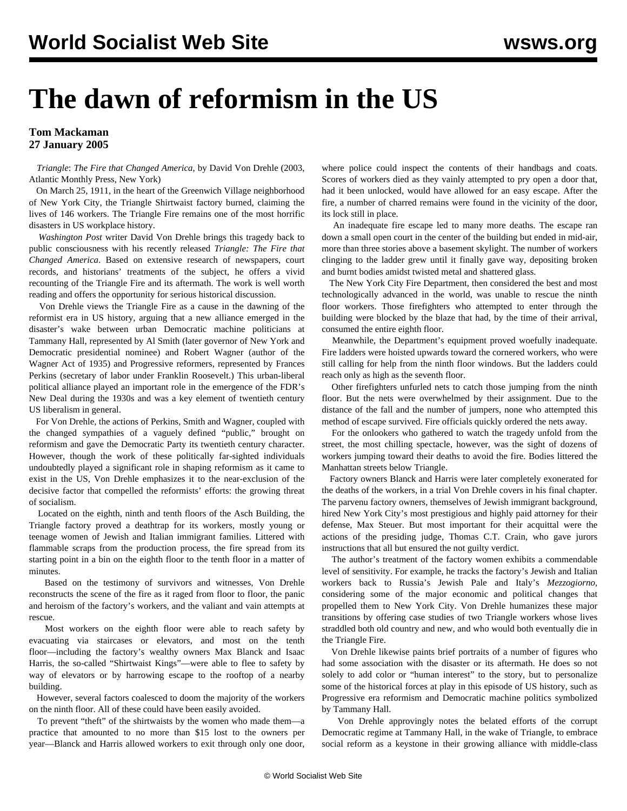## **The dawn of reformism in the US**

## **Tom Mackaman 27 January 2005**

 *Triangle*: *The Fire that Changed America*, by David Von Drehle (2003, Atlantic Monthly Press, New York)

 On March 25, 1911, in the heart of the Greenwich Village neighborhood of New York City, the Triangle Shirtwaist factory burned, claiming the lives of 146 workers. The Triangle Fire remains one of the most horrific disasters in US workplace history.

 *Washington Post* writer David Von Drehle brings this tragedy back to public consciousness with his recently released *Triangle: The Fire that Changed America*. Based on extensive research of newspapers, court records, and historians' treatments of the subject, he offers a vivid recounting of the Triangle Fire and its aftermath. The work is well worth reading and offers the opportunity for serious historical discussion.

 Von Drehle views the Triangle Fire as a cause in the dawning of the reformist era in US history, arguing that a new alliance emerged in the disaster's wake between urban Democratic machine politicians at Tammany Hall, represented by Al Smith (later governor of New York and Democratic presidential nominee) and Robert Wagner (author of the Wagner Act of 1935) and Progressive reformers, represented by Frances Perkins (secretary of labor under Franklin Roosevelt.) This urban-liberal political alliance played an important role in the emergence of the FDR's New Deal during the 1930s and was a key element of twentieth century US liberalism in general.

 For Von Drehle, the actions of Perkins, Smith and Wagner, coupled with the changed sympathies of a vaguely defined "public," brought on reformism and gave the Democratic Party its twentieth century character. However, though the work of these politically far-sighted individuals undoubtedly played a significant role in shaping reformism as it came to exist in the US, Von Drehle emphasizes it to the near-exclusion of the decisive factor that compelled the reformists' efforts: the growing threat of socialism.

 Located on the eighth, ninth and tenth floors of the Asch Building, the Triangle factory proved a deathtrap for its workers, mostly young or teenage women of Jewish and Italian immigrant families. Littered with flammable scraps from the production process, the fire spread from its starting point in a bin on the eighth floor to the tenth floor in a matter of minutes.

 Based on the testimony of survivors and witnesses, Von Drehle reconstructs the scene of the fire as it raged from floor to floor, the panic and heroism of the factory's workers, and the valiant and vain attempts at rescue.

 Most workers on the eighth floor were able to reach safety by evacuating via staircases or elevators, and most on the tenth floor—including the factory's wealthy owners Max Blanck and Isaac Harris, the so-called "Shirtwaist Kings"—were able to flee to safety by way of elevators or by harrowing escape to the rooftop of a nearby building.

 However, several factors coalesced to doom the majority of the workers on the ninth floor. All of these could have been easily avoided.

 To prevent "theft" of the shirtwaists by the women who made them—a practice that amounted to no more than \$15 lost to the owners per year—Blanck and Harris allowed workers to exit through only one door,

where police could inspect the contents of their handbags and coats. Scores of workers died as they vainly attempted to pry open a door that, had it been unlocked, would have allowed for an easy escape. After the fire, a number of charred remains were found in the vicinity of the door, its lock still in place.

 An inadequate fire escape led to many more deaths. The escape ran down a small open court in the center of the building but ended in mid-air, more than three stories above a basement skylight. The number of workers clinging to the ladder grew until it finally gave way, depositing broken and burnt bodies amidst twisted metal and shattered glass.

 The New York City Fire Department, then considered the best and most technologically advanced in the world, was unable to rescue the ninth floor workers. Those firefighters who attempted to enter through the building were blocked by the blaze that had, by the time of their arrival, consumed the entire eighth floor.

 Meanwhile, the Department's equipment proved woefully inadequate. Fire ladders were hoisted upwards toward the cornered workers, who were still calling for help from the ninth floor windows. But the ladders could reach only as high as the seventh floor.

 Other firefighters unfurled nets to catch those jumping from the ninth floor. But the nets were overwhelmed by their assignment. Due to the distance of the fall and the number of jumpers, none who attempted this method of escape survived. Fire officials quickly ordered the nets away.

 For the onlookers who gathered to watch the tragedy unfold from the street, the most chilling spectacle, however, was the sight of dozens of workers jumping toward their deaths to avoid the fire. Bodies littered the Manhattan streets below Triangle.

 Factory owners Blanck and Harris were later completely exonerated for the deaths of the workers, in a trial Von Drehle covers in his final chapter. The parvenu factory owners, themselves of Jewish immigrant background, hired New York City's most prestigious and highly paid attorney for their defense, Max Steuer. But most important for their acquittal were the actions of the presiding judge, Thomas C.T. Crain, who gave jurors instructions that all but ensured the not guilty verdict.

 The author's treatment of the factory women exhibits a commendable level of sensitivity. For example, he tracks the factory's Jewish and Italian workers back to Russia's Jewish Pale and Italy's *Mezzogiorno*, considering some of the major economic and political changes that propelled them to New York City. Von Drehle humanizes these major transitions by offering case studies of two Triangle workers whose lives straddled both old country and new, and who would both eventually die in the Triangle Fire.

 Von Drehle likewise paints brief portraits of a number of figures who had some association with the disaster or its aftermath. He does so not solely to add color or "human interest" to the story, but to personalize some of the historical forces at play in this episode of US history, such as Progressive era reformism and Democratic machine politics symbolized by Tammany Hall.

 Von Drehle approvingly notes the belated efforts of the corrupt Democratic regime at Tammany Hall, in the wake of Triangle, to embrace social reform as a keystone in their growing alliance with middle-class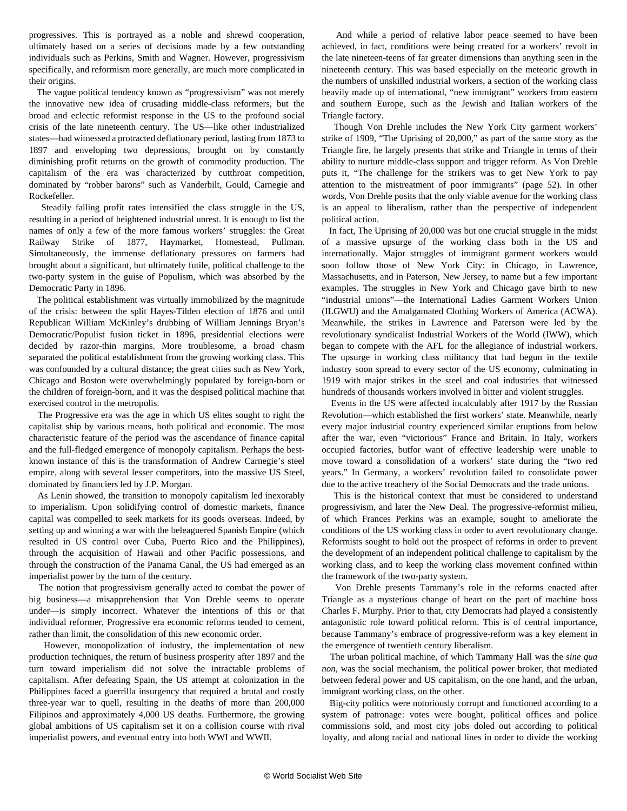progressives. This is portrayed as a noble and shrewd cooperation, ultimately based on a series of decisions made by a few outstanding individuals such as Perkins, Smith and Wagner. However, progressivism specifically, and reformism more generally, are much more complicated in their origins.

 The vague political tendency known as "progressivism" was not merely the innovative new idea of crusading middle-class reformers, but the broad and eclectic reformist response in the US to the profound social crisis of the late nineteenth century. The US—like other industrialized states—had witnessed a protracted deflationary period, lasting from 1873 to 1897 and enveloping two depressions, brought on by constantly diminishing profit returns on the growth of commodity production. The capitalism of the era was characterized by cutthroat competition, dominated by "robber barons" such as Vanderbilt, Gould, Carnegie and Rockefeller.

 Steadily falling profit rates intensified the class struggle in the US, resulting in a period of heightened industrial unrest. It is enough to list the names of only a few of the more famous workers' struggles: the Great Railway Strike of 1877, Haymarket, Homestead, Pullman. Simultaneously, the immense deflationary pressures on farmers had brought about a significant, but ultimately futile, political challenge to the two-party system in the guise of Populism, which was absorbed by the Democratic Party in 1896.

 The political establishment was virtually immobilized by the magnitude of the crisis: between the split Hayes-Tilden election of 1876 and until Republican William McKinley's drubbing of William Jennings Bryan's Democratic/Populist fusion ticket in 1896, presidential elections were decided by razor-thin margins. More troublesome, a broad chasm separated the political establishment from the growing working class. This was confounded by a cultural distance; the great cities such as New York, Chicago and Boston were overwhelmingly populated by foreign-born or the children of foreign-born, and it was the despised political machine that exercised control in the metropolis.

 The Progressive era was the age in which US elites sought to right the capitalist ship by various means, both political and economic. The most characteristic feature of the period was the ascendance of finance capital and the full-fledged emergence of monopoly capitalism. Perhaps the bestknown instance of this is the transformation of Andrew Carnegie's steel empire, along with several lesser competitors, into the massive US Steel, dominated by financiers led by J.P. Morgan.

 As Lenin showed, the transition to monopoly capitalism led inexorably to imperialism. Upon solidifying control of domestic markets, finance capital was compelled to seek markets for its goods overseas. Indeed, by setting up and winning a war with the beleaguered Spanish Empire (which resulted in US control over Cuba, Puerto Rico and the Philippines), through the acquisition of Hawaii and other Pacific possessions, and through the construction of the Panama Canal, the US had emerged as an imperialist power by the turn of the century.

 The notion that progressivism generally acted to combat the power of big business—a misapprehension that Von Drehle seems to operate under—is simply incorrect. Whatever the intentions of this or that individual reformer, Progressive era economic reforms tended to cement, rather than limit, the consolidation of this new economic order.

 However, monopolization of industry, the implementation of new production techniques, the return of business prosperity after 1897 and the turn toward imperialism did not solve the intractable problems of capitalism. After defeating Spain, the US attempt at colonization in the Philippines faced a guerrilla insurgency that required a brutal and costly three-year war to quell, resulting in the deaths of more than 200,000 Filipinos and approximately 4,000 US deaths. Furthermore, the growing global ambitions of US capitalism set it on a collision course with rival imperialist powers, and eventual entry into both WWI and WWII.

 And while a period of relative labor peace seemed to have been achieved, in fact, conditions were being created for a workers' revolt in the late nineteen-teens of far greater dimensions than anything seen in the nineteenth century. This was based especially on the meteoric growth in the numbers of unskilled industrial workers, a section of the working class heavily made up of international, "new immigrant" workers from eastern and southern Europe, such as the Jewish and Italian workers of the Triangle factory.

 Though Von Drehle includes the New York City garment workers' strike of 1909, "The Uprising of 20,000," as part of the same story as the Triangle fire, he largely presents that strike and Triangle in terms of their ability to nurture middle-class support and trigger reform. As Von Drehle puts it, "The challenge for the strikers was to get New York to pay attention to the mistreatment of poor immigrants" (page 52). In other words, Von Drehle posits that the only viable avenue for the working class is an appeal to liberalism, rather than the perspective of independent political action.

 In fact, The Uprising of 20,000 was but one crucial struggle in the midst of a massive upsurge of the working class both in the US and internationally. Major struggles of immigrant garment workers would soon follow those of New York City: in Chicago, in Lawrence, Massachusetts, and in Paterson, New Jersey, to name but a few important examples. The struggles in New York and Chicago gave birth to new "industrial unions"—the International Ladies Garment Workers Union (ILGWU) and the Amalgamated Clothing Workers of America (ACWA). Meanwhile, the strikes in Lawrence and Paterson were led by the revolutionary syndicalist Industrial Workers of the World (IWW), which began to compete with the AFL for the allegiance of industrial workers. The upsurge in working class militancy that had begun in the textile industry soon spread to every sector of the US economy, culminating in 1919 with major strikes in the steel and coal industries that witnessed hundreds of thousands workers involved in bitter and violent struggles.

 Events in the US were affected incalculably after 1917 by the Russian Revolution—which established the first workers' state. Meanwhile, nearly every major industrial country experienced similar eruptions from below after the war, even "victorious" France and Britain. In Italy, workers occupied factories, butfor want of effective leadership were unable to move toward a consolidation of a workers' state during the "two red years." In Germany, a workers' revolution failed to consolidate power due to the active treachery of the Social Democrats and the trade unions.

 This is the historical context that must be considered to understand progressivism, and later the New Deal. The progressive-reformist milieu, of which Frances Perkins was an example, sought to ameliorate the conditions of the US working class in order to avert revolutionary change. Reformists sought to hold out the prospect of reforms in order to prevent the development of an independent political challenge to capitalism by the working class, and to keep the working class movement confined within the framework of the two-party system.

 Von Drehle presents Tammany's role in the reforms enacted after Triangle as a mysterious change of heart on the part of machine boss Charles F. Murphy. Prior to that, city Democrats had played a consistently antagonistic role toward political reform. This is of central importance, because Tammany's embrace of progressive-reform was a key element in the emergence of twentieth century liberalism.

 The urban political machine, of which Tammany Hall was the *sine qua non*, was the social mechanism, the political power broker, that mediated between federal power and US capitalism, on the one hand, and the urban, immigrant working class, on the other.

 Big-city politics were notoriously corrupt and functioned according to a system of patronage: votes were bought, political offices and police commissions sold, and most city jobs doled out according to political loyalty, and along racial and national lines in order to divide the working